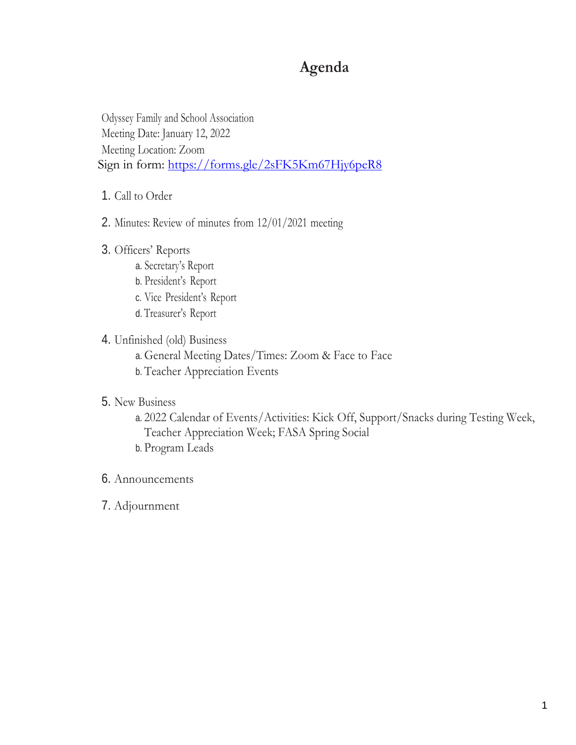# **Agenda**

Odyssey Family and School Association Meeting Date: January 12, 2022 Meeting Location: Zoom Sign in form:<https://forms.gle/2sFK5Km67Hjy6peR8>

- 1. Call to Order
- 2. Minutes: Review of minutes from 12/01/2021 meeting
- 3. Officers' Reports
	- a. Secretary's Report
	- b. President's Report
	- c. Vice President's Report
	- d. Treasurer's Report

## 4. Unfinished (old) Business

- a. General Meeting Dates/Times: Zoom & Face to Face
- b. Teacher Appreciation Events

## 5. New Business

- a. 2022 Calendar of Events/Activities: Kick Off, Support/Snacks during Testing Week, Teacher Appreciation Week; FASA Spring Social
- b. Program Leads
- 6. Announcements
- 7. Adjournment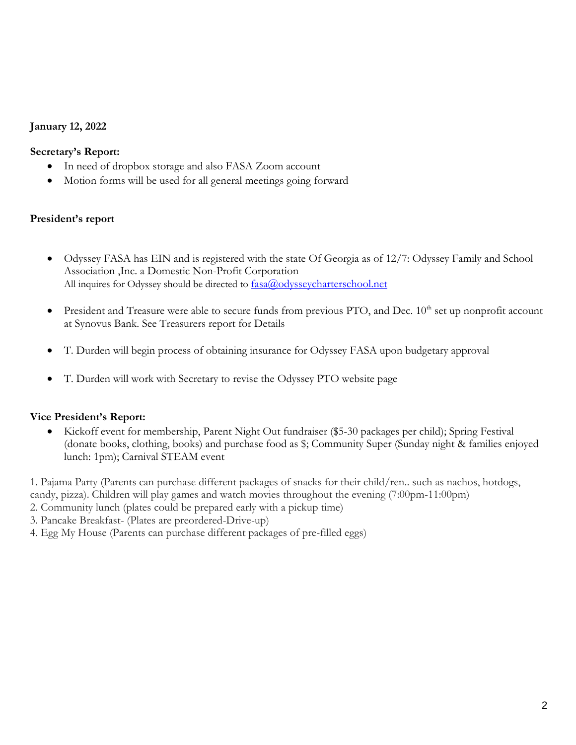# **January 12, 2022**

## **Secretary's Report:**

- In need of dropbox storage and also FASA Zoom account
- Motion forms will be used for all general meetings going forward

## **President's report**

- Odyssey FASA has EIN and is registered with the state Of Georgia as of 12/7: Odyssey Family and School Association ,Inc. a Domestic Non-Profit Corporation All inquires for Odyssey should be directed to  $f_{\text{ASA}}(a)$  odyssey charters chool.net
- President and Treasure were able to secure funds from previous PTO, and Dec. 10<sup>th</sup> set up nonprofit account at Synovus Bank. See Treasurers report for Details
- T. Durden will begin process of obtaining insurance for Odyssey FASA upon budgetary approval
- T. Durden will work with Secretary to revise the Odyssey PTO website page

## **Vice President's Report:**

• Kickoff event for membership, Parent Night Out fundraiser (\$5-30 packages per child); Spring Festival (donate books, clothing, books) and purchase food as \$; Community Super (Sunday night & families enjoyed lunch: 1pm); Carnival STEAM event

1. Pajama Party (Parents can purchase different packages of snacks for their child/ren.. such as nachos, hotdogs, candy, pizza). Children will play games and watch movies throughout the evening (7:00pm-11:00pm) 2. Community lunch (plates could be prepared early with a pickup time)

- 3. Pancake Breakfast- (Plates are preordered-Drive-up)
- 4. Egg My House (Parents can purchase different packages of pre-filled eggs)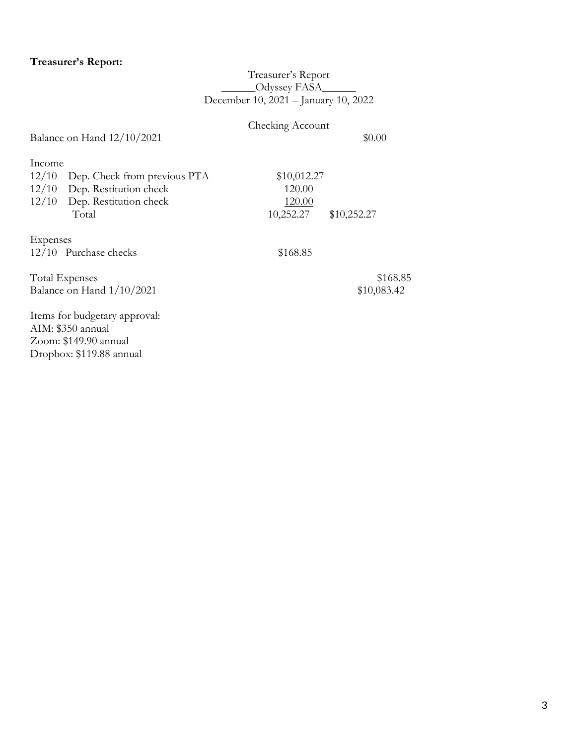## **Treasurer's Report:**

## Treasurer's Report \_\_\_\_\_\_Odyssey FASA\_\_\_\_\_\_ December 10, 2021 – January 10, 2022

# Checking Account

Balance on Hand  $12/10/2021$  \$0.00

| Income |                                    |             |             |
|--------|------------------------------------|-------------|-------------|
|        | 12/10 Dep. Check from previous PTA | \$10,012.27 |             |
|        | 12/10 Dep. Restitution check       | 120.00      |             |
|        | 12/10 Dep. Restitution check       | 120.00      |             |
|        | Total                              | 10,252.27   | \$10,252.27 |
|        |                                    |             |             |

Expenses

12/10 Purchase checks \$168.85

Total Expenses \$168.85<br>Balance on Hand  $1/10/2021$  \$10,083.42 Balance on Hand  $1/10/2021$ 

Items for budgetary approval: AIM: \$350 annual Zoom: \$149.90 annual Dropbox: \$119.88 annual

3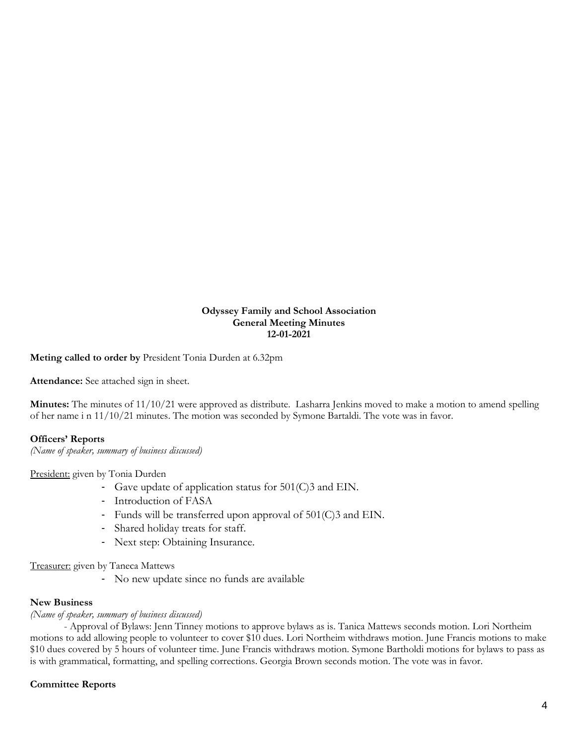#### **Odyssey Family and School Association General Meeting Minutes 12-01-2021**

**Meting called to order by** President Tonia Durden at 6.32pm

**Attendance:** See attached sign in sheet.

**Minutes:** The minutes of 11/10/21 were approved as distribute. Lasharra Jenkins moved to make a motion to amend spelling of her name i n 11/10/21 minutes. The motion was seconded by Symone Bartaldi. The vote was in favor.

#### **Officers' Reports**

*(Name of speaker, summary of business discussed)*

President: given by Tonia Durden

- Gave update of application status for 501(C)3 and EIN.
- Introduction of FASA
- Funds will be transferred upon approval of 501(C)3 and EIN.
- Shared holiday treats for staff.
- Next step: Obtaining Insurance.

Treasurer: given by Taneca Mattews

- No new update since no funds are available

#### **New Business**

#### *(Name of speaker, summary of business discussed)*

- Approval of Bylaws: Jenn Tinney motions to approve bylaws as is. Tanica Mattews seconds motion. Lori Northeim motions to add allowing people to volunteer to cover \$10 dues. Lori Northeim withdraws motion. June Francis motions to make \$10 dues covered by 5 hours of volunteer time. June Francis withdraws motion. Symone Bartholdi motions for bylaws to pass as is with grammatical, formatting, and spelling corrections. Georgia Brown seconds motion. The vote was in favor.

#### **Committee Reports**